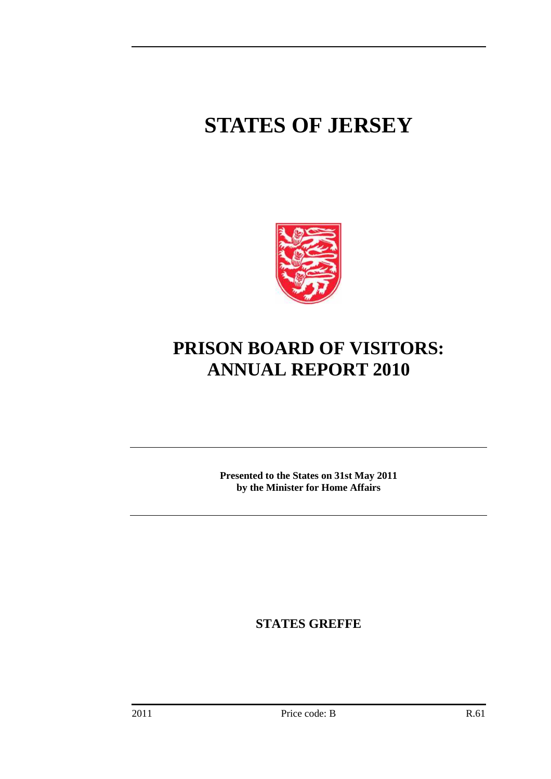# **STATES OF JERSEY**



# **PRISON BOARD OF VISITORS: ANNUAL REPORT 2010**

**Presented to the States on 31st May 2011 by the Minister for Home Affairs** 

**STATES GREFFE**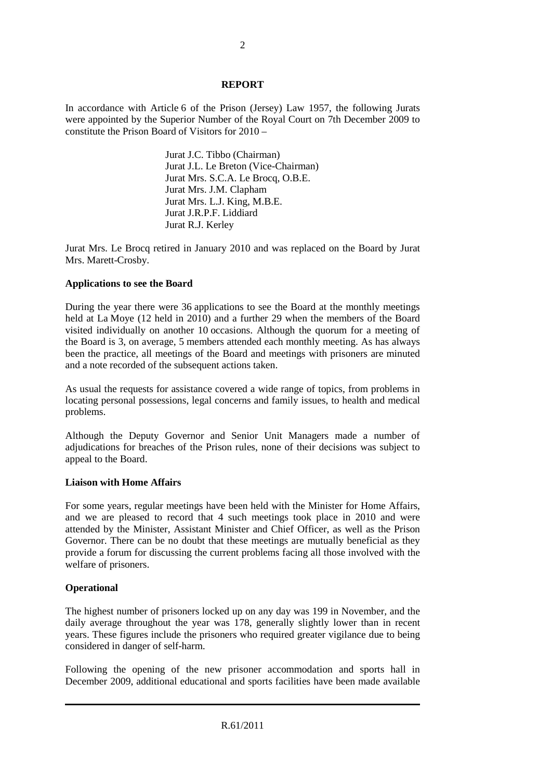#### **REPORT**

In accordance with Article 6 of the Prison (Jersey) Law 1957, the following Jurats were appointed by the Superior Number of the Royal Court on 7th December 2009 to constitute the Prison Board of Visitors for 2010 –

> Jurat J.C. Tibbo (Chairman) Jurat J.L. Le Breton (Vice-Chairman) Jurat Mrs. S.C.A. Le Brocq, O.B.E. Jurat Mrs. J.M. Clapham Jurat Mrs. L.J. King, M.B.E. Jurat J.R.P.F. Liddiard Jurat R.J. Kerley

Jurat Mrs. Le Brocq retired in January 2010 and was replaced on the Board by Jurat Mrs. Marett-Crosby.

### **Applications to see the Board**

During the year there were 36 applications to see the Board at the monthly meetings held at La Moye (12 held in 2010) and a further 29 when the members of the Board visited individually on another 10 occasions. Although the quorum for a meeting of the Board is 3, on average, 5 members attended each monthly meeting. As has always been the practice, all meetings of the Board and meetings with prisoners are minuted and a note recorded of the subsequent actions taken.

As usual the requests for assistance covered a wide range of topics, from problems in locating personal possessions, legal concerns and family issues, to health and medical problems.

Although the Deputy Governor and Senior Unit Managers made a number of adjudications for breaches of the Prison rules, none of their decisions was subject to appeal to the Board.

#### **Liaison with Home Affairs**

For some years, regular meetings have been held with the Minister for Home Affairs, and we are pleased to record that 4 such meetings took place in 2010 and were attended by the Minister, Assistant Minister and Chief Officer, as well as the Prison Governor. There can be no doubt that these meetings are mutually beneficial as they provide a forum for discussing the current problems facing all those involved with the welfare of prisoners.

#### **Operational**

The highest number of prisoners locked up on any day was 199 in November, and the daily average throughout the year was 178, generally slightly lower than in recent years. These figures include the prisoners who required greater vigilance due to being considered in danger of self-harm.

Following the opening of the new prisoner accommodation and sports hall in December 2009, additional educational and sports facilities have been made available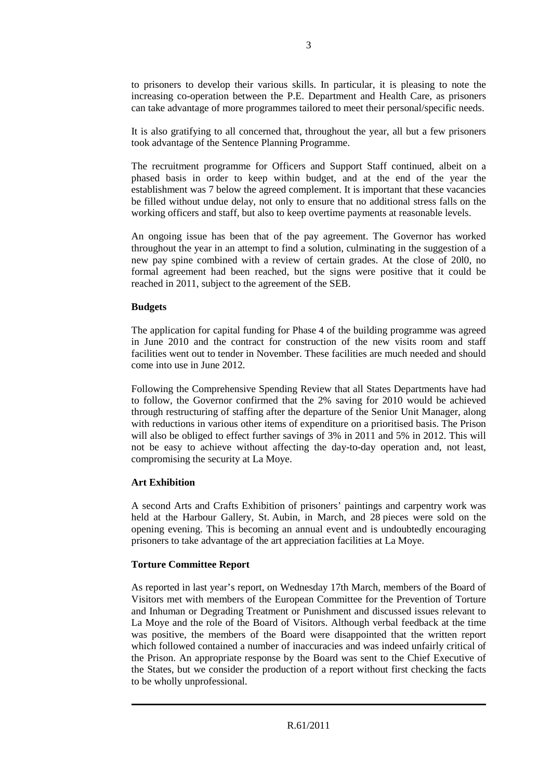to prisoners to develop their various skills. In particular, it is pleasing to note the increasing co-operation between the P.E. Department and Health Care, as prisoners can take advantage of more programmes tailored to meet their personal/specific needs.

It is also gratifying to all concerned that, throughout the year, all but a few prisoners took advantage of the Sentence Planning Programme.

The recruitment programme for Officers and Support Staff continued, albeit on a phased basis in order to keep within budget, and at the end of the year the establishment was 7 below the agreed complement. It is important that these vacancies be filled without undue delay, not only to ensure that no additional stress falls on the working officers and staff, but also to keep overtime payments at reasonable levels.

An ongoing issue has been that of the pay agreement. The Governor has worked throughout the year in an attempt to find a solution, culminating in the suggestion of a new pay spine combined with a review of certain grades. At the close of 20l0, no formal agreement had been reached, but the signs were positive that it could be reached in 2011, subject to the agreement of the SEB.

#### **Budgets**

The application for capital funding for Phase 4 of the building programme was agreed in June 2010 and the contract for construction of the new visits room and staff facilities went out to tender in November. These facilities are much needed and should come into use in June 2012.

Following the Comprehensive Spending Review that all States Departments have had to follow, the Governor confirmed that the 2% saving for 2010 would be achieved through restructuring of staffing after the departure of the Senior Unit Manager, along with reductions in various other items of expenditure on a prioritised basis. The Prison will also be obliged to effect further savings of 3% in 2011 and 5% in 2012. This will not be easy to achieve without affecting the day-to-day operation and, not least, compromising the security at La Moye.

# **Art Exhibition**

A second Arts and Crafts Exhibition of prisoners' paintings and carpentry work was held at the Harbour Gallery, St. Aubin, in March, and 28 pieces were sold on the opening evening. This is becoming an annual event and is undoubtedly encouraging prisoners to take advantage of the art appreciation facilities at La Moye.

# **Torture Committee Report**

As reported in last year's report, on Wednesday 17th March, members of the Board of Visitors met with members of the European Committee for the Prevention of Torture and Inhuman or Degrading Treatment or Punishment and discussed issues relevant to La Moye and the role of the Board of Visitors. Although verbal feedback at the time was positive, the members of the Board were disappointed that the written report which followed contained a number of inaccuracies and was indeed unfairly critical of the Prison. An appropriate response by the Board was sent to the Chief Executive of the States, but we consider the production of a report without first checking the facts to be wholly unprofessional.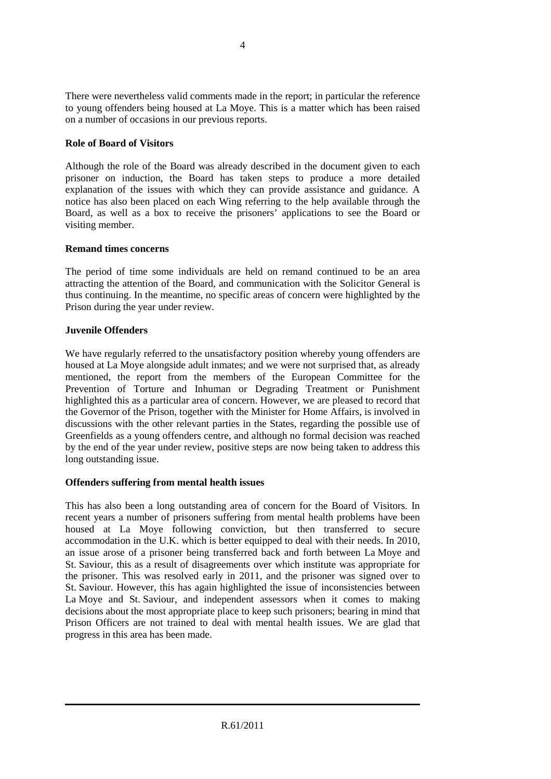There were nevertheless valid comments made in the report; in particular the reference to young offenders being housed at La Moye. This is a matter which has been raised on a number of occasions in our previous reports.

# **Role of Board of Visitors**

Although the role of the Board was already described in the document given to each prisoner on induction, the Board has taken steps to produce a more detailed explanation of the issues with which they can provide assistance and guidance. A notice has also been placed on each Wing referring to the help available through the Board, as well as a box to receive the prisoners' applications to see the Board or visiting member.

# **Remand times concerns**

The period of time some individuals are held on remand continued to be an area attracting the attention of the Board, and communication with the Solicitor General is thus continuing. In the meantime, no specific areas of concern were highlighted by the Prison during the year under review.

# **Juvenile Offenders**

We have regularly referred to the unsatisfactory position whereby young offenders are housed at La Moye alongside adult inmates; and we were not surprised that, as already mentioned, the report from the members of the European Committee for the Prevention of Torture and Inhuman or Degrading Treatment or Punishment highlighted this as a particular area of concern. However, we are pleased to record that the Governor of the Prison, together with the Minister for Home Affairs, is involved in discussions with the other relevant parties in the States, regarding the possible use of Greenfields as a young offenders centre, and although no formal decision was reached by the end of the year under review, positive steps are now being taken to address this long outstanding issue.

# **Offenders suffering from mental health issues**

This has also been a long outstanding area of concern for the Board of Visitors. In recent years a number of prisoners suffering from mental health problems have been housed at La Moye following conviction, but then transferred to secure accommodation in the U.K. which is better equipped to deal with their needs. In 2010, an issue arose of a prisoner being transferred back and forth between La Moye and St. Saviour, this as a result of disagreements over which institute was appropriate for the prisoner. This was resolved early in 2011, and the prisoner was signed over to St. Saviour. However, this has again highlighted the issue of inconsistencies between La Moye and St. Saviour, and independent assessors when it comes to making decisions about the most appropriate place to keep such prisoners; bearing in mind that Prison Officers are not trained to deal with mental health issues. We are glad that progress in this area has been made.